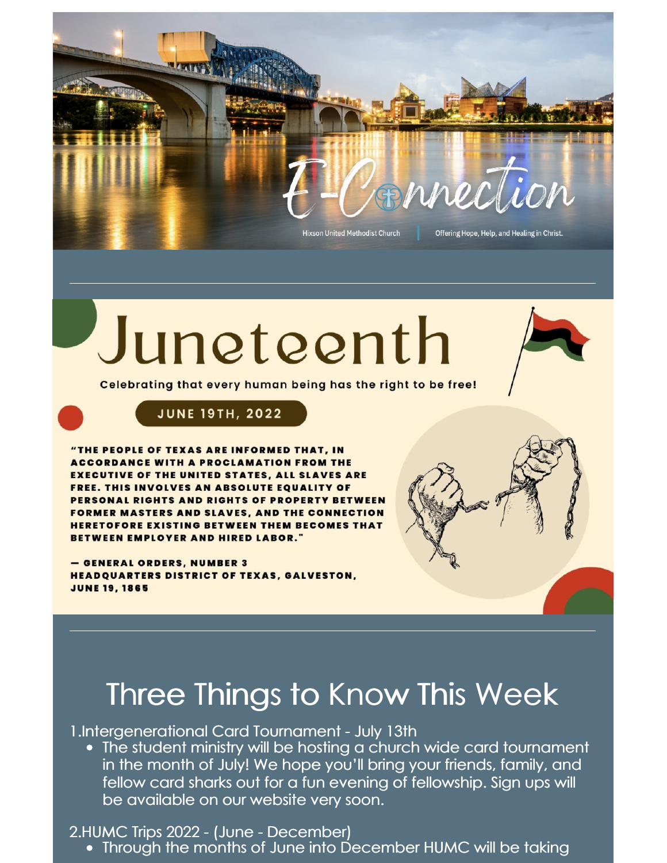

## Juneteenth



Celebrating that every human being has the right to be free!



"THE PEOPLE OF TEXAS ARE INFORMED THAT, IN **ACCORDANCE WITH A PROCLAMATION FROM THE EXECUTIVE OF THE UNITED STATES, ALL SLAVES ARE** FREE. THIS INVOLVES AN ABSOLUTE EQUALITY OF PERSONAL RIGHTS AND RIGHTS OF PROPERTY BETWEEN **FORMER MASTERS AND SLAVES, AND THE CONNECTION HERETOFORE EXISTING BETWEEN THEM BECOMES THAT** BETWEEN EMPLOYER AND HIRED LABOR."

- GENERAL ORDERS, NUMBER 3 **HEADQUARTERS DISTRICT OF TEXAS, GALVESTON, JUNE 19, 1865** 

## Three Things to Know This Week

1.Intergenerational Card Tournament - July 13th

The student ministry will be hosting a church wide card tournament in the month of July! We hope you'll bring your friends, family, and fellow card sharks out for a fun evening of fellowship. Sign ups will be available on our website very soon.

2.HUMC Trips 2022 - (June - December)

• Through the months of June into December HUMC will be taking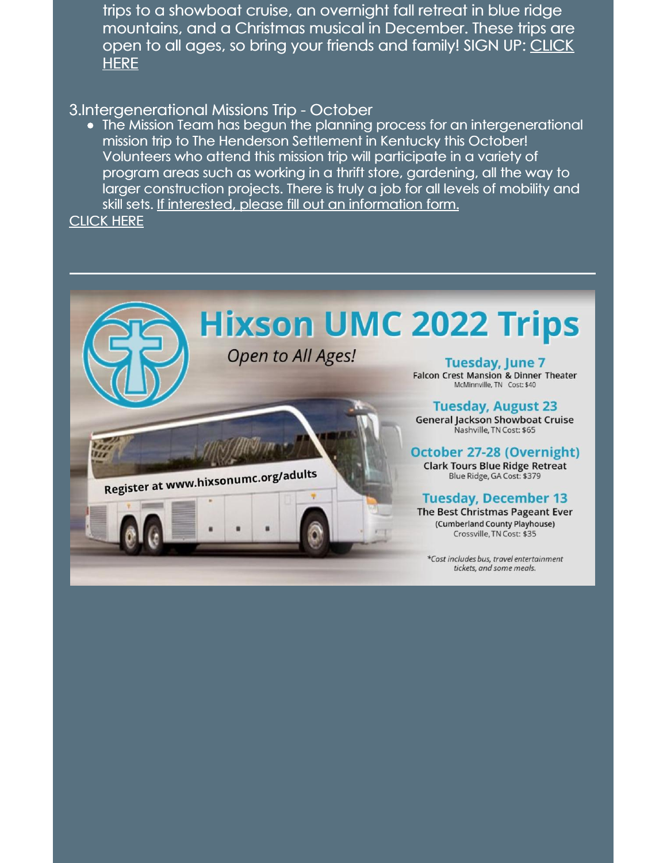trips to a showboat cruise, an overnight fall retreat in blue ridge mountains, and a Christmas musical in December. These trips are open to all ages, so bring your friends and [family!](https://docs.google.com/forms/d/e/1FAIpQLSceCnhyK0yolcuL4RvW68vhDlo8YjGr8p8U91FrhPnHl45_Ng/viewform) SIGN UP: CLICK **HERE** 

## 3.Intergenerational Missions Trip - October

The Mission Team has begun the planning process for an intergenerational mission trip to The Henderson Settlement in Kentucky this October! Volunteers who attend this mission trip will participate in a variety of program areas such as working in a thrift store, gardening, all the way to larger construction projects. There is truly a job for all levels of mobility and skill sets. If interested, please fill out an information form. [CLICK](https://docs.google.com/forms/d/1ZUwWW-NSMFym9fJQI1tCwAALRtzBhe4PQanfurXc1aA/edit) HERE